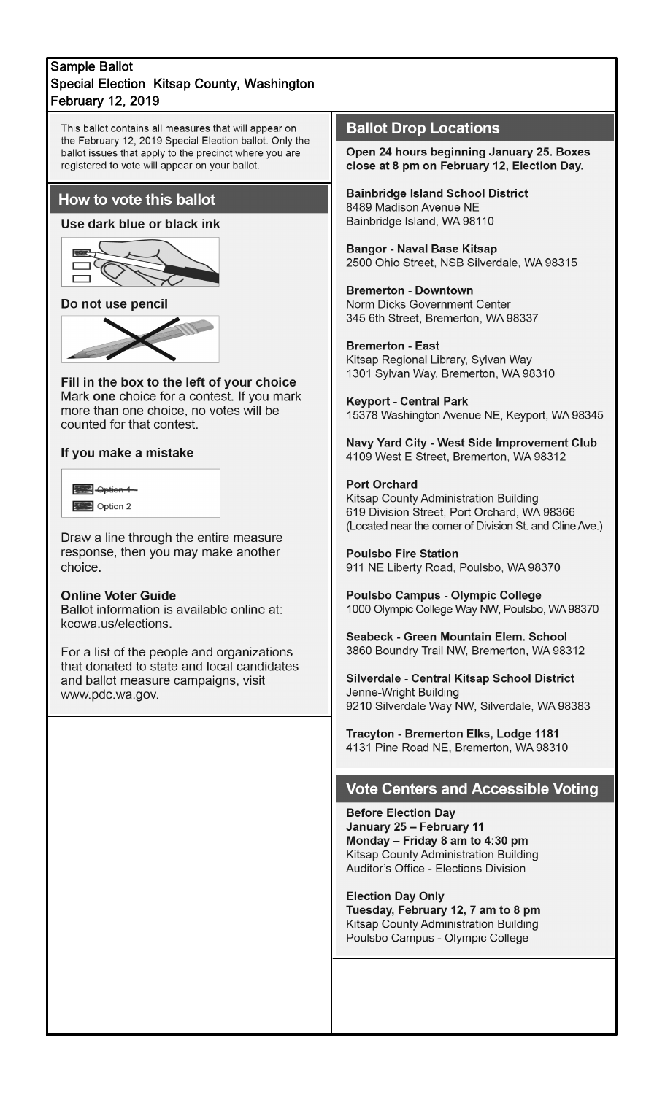### **Sample Ballot** Special Election Kitsap County, Washington **February 12, 2019**

This ballot contains all measures that will appear on the February 12, 2019 Special Election ballot. Only the ballot issues that apply to the precinct where you are registered to vote will appear on your ballot.

# How to vote this ballot

### Use dark blue or black ink



### Do not use pencil



Fill in the box to the left of your choice Mark one choice for a contest. If you mark more than one choice, no votes will be counted for that contest.

#### If you make a mistake

| <del>Option 1</del> |  |
|---------------------|--|
| Option 2            |  |

Draw a line through the entire measure response, then you may make another choice.

#### **Online Voter Guide**

Ballot information is available online at: kcowa.us/elections.

For a list of the people and organizations that donated to state and local candidates and ballot measure campaigns, visit www.pdc.wa.gov.

# **Ballot Drop Locations**

Open 24 hours beginning January 25. Boxes close at 8 pm on February 12, Election Day.

**Bainbridge Island School District** 8489 Madison Avenue NE Bainbridge Island, WA 98110

**Bangor - Naval Base Kitsap** 2500 Ohio Street, NSB Silverdale, WA 98315

**Bremerton - Downtown** Norm Dicks Government Center 345 6th Street, Bremerton, WA 98337

#### **Bremerton - East**

Kitsap Regional Library, Sylvan Way 1301 Sylvan Way, Bremerton, WA 98310

**Keyport - Central Park** 15378 Washington Avenue NE, Keyport, WA 98345

Navy Yard City - West Side Improvement Club 4109 West E Street, Bremerton, WA 98312

#### **Port Orchard**

Kitsap County Administration Building 619 Division Street, Port Orchard, WA 98366 (Located near the corner of Division St. and Cline Ave.)

**Poulsbo Fire Station** 911 NE Liberty Road, Poulsbo, WA 98370

Poulsbo Campus - Olympic College 1000 Olympic College Way NW, Poulsbo, WA 98370

Seabeck - Green Mountain Elem. School 3860 Boundry Trail NW, Bremerton, WA 98312

Silverdale - Central Kitsap School District Jenne-Wright Building 9210 Silverdale Way NW, Silverdale, WA 98383

Tracyton - Bremerton Elks, Lodge 1181 4131 Pine Road NE, Bremerton, WA 98310

### **Vote Centers and Accessible Voting**

**Before Election Day** January 25 - February 11 Monday - Friday 8 am to 4:30 pm Kitsap County Administration Building Auditor's Office - Elections Division

**Election Day Only** Tuesday, February 12, 7 am to 8 pm Kitsap County Administration Building Poulsbo Campus - Olympic College